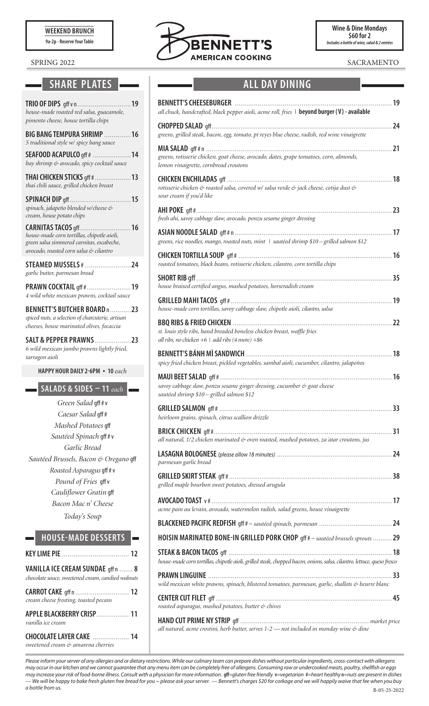**WEEKEND BRUNCH**

**9a-2p - Reserve Your Table** 

## **SHARE PLATES ALL DAY DINING**

| TRIO OF DIPS gff v n<br>19<br>house-made roasted red salsa, guacamole,<br>pimento cheese, house tortilla chips                                                        |
|-----------------------------------------------------------------------------------------------------------------------------------------------------------------------|
| <b>BIG BANG TEMPURA SHRIMP</b><br>16<br>5 traditional style w/ spicy bang sauce                                                                                       |
| 14<br><b>SEAFOOD ACAPULCO</b> gff #<br>bay shrimp & avocado, spicy cocktail sauce                                                                                     |
| <b>THAI CHICKEN STICKS gff #.</b><br>13<br>thai chili sauce, grilled chicken breast                                                                                   |
| 15<br><b>SPINACH DIP gff.</b><br>spinach, jalapeño blended w/cheese &<br>cream, house potato chips                                                                    |
| <b>CARNITAS TACOS gff.</b><br>16<br>house-made corn tortillas, chipotle aioli,<br>green salsa simmered carnitas, escabeche,<br>avocado, roasted corn salsa & cilantro |
| <b>STEAMED MUSSELS # </b><br>$\sim$ 24<br>garlic butter, parmesan bread                                                                                               |
| PRAWN COCKTAIL qff #  19<br>4 wild white mexican prawns, cocktail sauce                                                                                               |
| BENNETT'S BUTCHER BOARD n23<br>spiced nuts, a selection of charcuterie, artisan<br>cheeses, house marinated olives, focaccia                                          |
| <b>SALT &amp; PEPPER PRAWNS</b><br>. 23<br>6 wild mexican jumbo prawns lightly fried,<br>tarragon aioli                                                               |
| <b>HAPPY HOUR DAILY 2-6PM • 10 each</b>                                                                                                                               |
| SALADS & SIDES $-11$ each                                                                                                                                             |
| Green Salad gff#v                                                                                                                                                     |
| Caesar Salad gff#                                                                                                                                                     |
| Mashed Potatoes qff                                                                                                                                                   |
| Sautéed Spinach gff#v                                                                                                                                                 |
| Garlic Bread                                                                                                                                                          |
| Sautéed Brussels, Bacon & Oregano qff                                                                                                                                 |
| <i>Roasted Asparagus</i> gff # v                                                                                                                                      |
| Pound of Fries gff v                                                                                                                                                  |
| Cauliflower Gratin gff                                                                                                                                                |
| Bacon Mac n' Cheese                                                                                                                                                   |
| Today's Soup                                                                                                                                                          |
| <b>HOUSE-MADE DESSERTS</b>                                                                                                                                            |
| EY LIME PIE                                                                                                                                                           |

| VANILLA ICE CREAM SUNDAE qffn  8<br>chocolate sauce, sweetened cream, candied walnuts |  |
|---------------------------------------------------------------------------------------|--|
| CARROT CAKE gff n  12<br>cream cheese frosting, toasted pecans                        |  |
| APPLE BLACKBERRY CRISP  11<br>vanilla ice cream                                       |  |
| CHOCOLATE LAYER CAKE  14<br>sweetened cream & amarena cherries                        |  |



| <b>BENNETT'S CHEESEBURGER</b><br>all chuck, handcrafted, black pepper aioli, acme roll, fries   beyond burger (V) - available                        | 19 |
|------------------------------------------------------------------------------------------------------------------------------------------------------|----|
| greens, grilled steak, bacon, egg, tomato, pt reyes blue cheese, radish, red wine vinaigrette                                                        | 24 |
|                                                                                                                                                      | 21 |
| greens, rotisserie chicken, goat cheese, avocado, dates, grape tomatoes, corn, almonds,<br>lemon vinaigrette, cornbread croutons                     |    |
| <b>CHICKEN ENCHILADAS</b> qff<br>rotisserie chicken & roasted salsa, covered w/ salsa verde & jack cheese, cotija dust &<br>sour cream if you'd like | 18 |
| fresh ahi, savoy cabbage slaw, avocado, ponzu sesame ginger dressing                                                                                 | 23 |
| greens, rice noodles, mango, roasted nuts, mint   sautéed shrimp \$10 - grilled salmon \$12                                                          |    |
| roasted tomatoes, black beans, rotisserie chicken, cilantro, corn tortilla chips                                                                     |    |
| house braised certified angus, mashed potatoes, horseradish cream                                                                                    | 35 |
| house-made corn tortillas, savoy cabbage slaw, chipotle aioli, cilantro, salsa                                                                       | 19 |
| st. louis style ribs, hand breaded boneless chicken breast, waffle fries<br>all ribs, no chicken $+6$   add ribs (4 more) $+$ \$6                    | 22 |
| spicy fried chicken breast, pickled vegetables, sambal aioli, cucumber, cilantro, jalapeños                                                          | 18 |
| savoy cabbage slaw, ponzu sesame ginger dressing, cucumber & goat cheese<br>sautéed shrimp \$10 - grilled salmon \$12                                | 16 |
| heirloom grains, spinach, citrus scallion drizzle                                                                                                    |    |
| all natural, 1/2 chicken marinated & oven roasted, mashed potatoes, za'atar croutons, jus                                                            |    |
| parmesan garlic bread                                                                                                                                |    |
| grilled maple bourbon sweet potatoes, dressed arugula                                                                                                |    |
| acme pain au levain, avocado, watermelon radish, salad greens, house vinaigrette                                                                     |    |
|                                                                                                                                                      |    |
| HOISIN MARINATED BONE-IN GRILLED PORK CHOP gff # - sautéed brussels sprouts  29                                                                      |    |
| house-made corn tortillas, chipotle aioli, grilled steak, chopped bacon, onions, salsa, cilantro, lettuce, queso fresco                              |    |
| wild mexican white prawns, spinach, blistered tomatoes, parmesan, garlic, shallots & beurre blanc                                                    |    |
| roasted asparagus, mashed potatoes, butter & chives                                                                                                  |    |
| all natural, acme crostini, herb butter, serves 1-2 - not included in monday wine & dine                                                             |    |

*Please inform your server of any allergies and or dietary restrictions. While our culinary team can prepare dishes without particular ingredients, cross-contact with allergens may occur in our kitchen and we cannot guarantee that any menu item can be completely free of allergens. Consuming raw or undercooked meats, poultry, shellfish or eggs*  may increase your risk of food-borne illness. Consult with a physician for more information. gff=gluten free friendly v=vegetarian #=heart healthy n=nuts are present in dishes *–– We will be happy to bake fresh gluten free bread for you ~ please ask your server. –– Bennett's charges \$20 for corkage and we will happily waive that fee when you buy a bottle from us.*